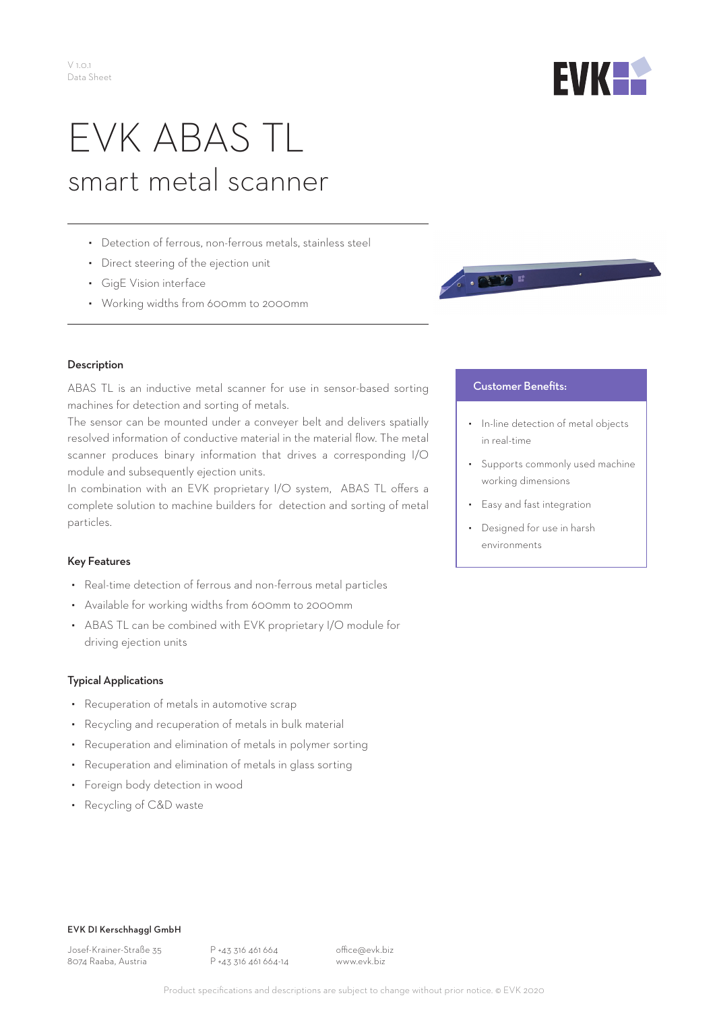

# EVK ABAS TL smart metal scanner

- Detection of ferrous, non-ferrous metals, stainless steel
- Direct steering of the ejection unit
- GigE Vision interface
- Working widths from 600mm to 2000mm



#### Description

ABAS TL is an inductive metal scanner for use in sensor-based sorting machines for detection and sorting of metals.

The sensor can be mounted under a conveyer belt and delivers spatially resolved information of conductive material in the material flow. The metal scanner produces binary information that drives a corresponding I/O module and subsequently ejection units.

In combination with an EVK proprietary I/O system, ABAS TL offers a complete solution to machine builders for detection and sorting of metal particles.

### Key Features

- Real-time detection of ferrous and non-ferrous metal particles
- Available for working widths from 600mm to 2000mm
- ABAS TL can be combined with EVK proprietary I/O module for driving ejection units

### Typical Applications

- Recuperation of metals in automotive scrap
- Recycling and recuperation of metals in bulk material
- Recuperation and elimination of metals in polymer sorting
- Recuperation and elimination of metals in glass sorting
- Foreign body detection in wood
- Recycling of C&D waste

## **Customer Benefits:**

- In-line detection of metal objects in real-time
- Supports commonly used machine working dimensions
- Easy and fast integration
- Designed for use in harsh environments

#### EVK DI Kerschhaggl GmbH

Josef-Krainer-Straße 35 8074 Raaba, Austria

P +43 316 461 664 P +43 316 461 664-14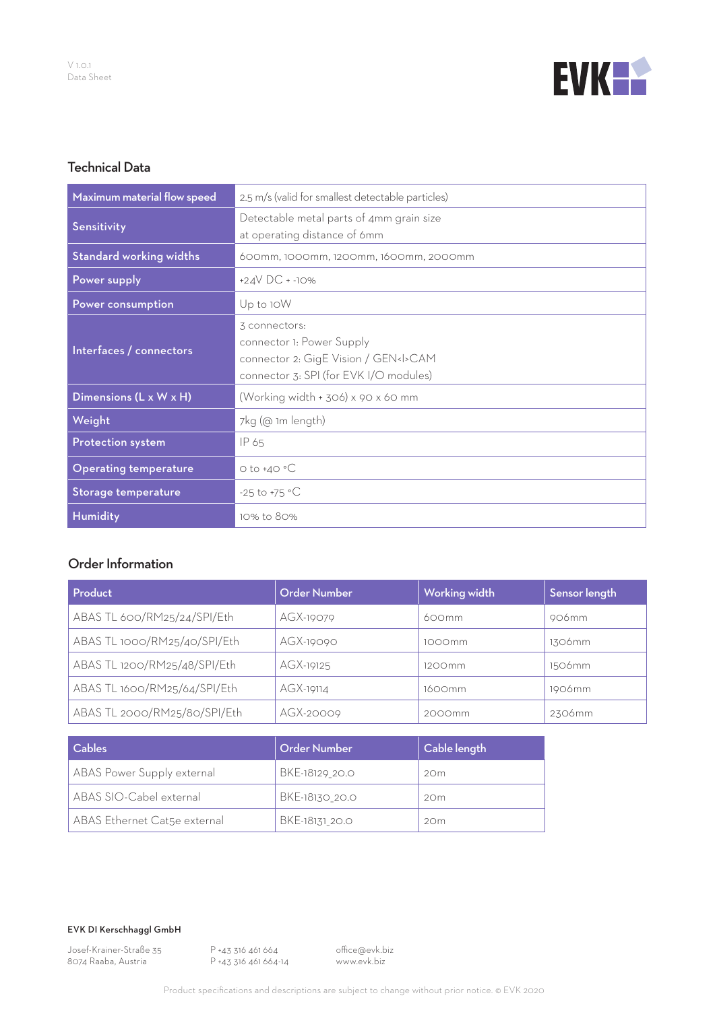

# Technical Data

| Maximum material flow speed    | 2.5 m/s (valid for smallest detectable particles)                                                                                  |  |  |
|--------------------------------|------------------------------------------------------------------------------------------------------------------------------------|--|--|
| Sensitivity                    | Detectable metal parts of 4mm grain size<br>at operating distance of 6mm                                                           |  |  |
| <b>Standard working widths</b> | 600mm, 1000mm, 1200mm, 1600mm, 2000mm                                                                                              |  |  |
| Power supply                   | +24 $V$ DC + -10%                                                                                                                  |  |  |
| Power consumption              | Up to 10W                                                                                                                          |  |  |
| Interfaces / connectors        | 3 connectors:<br>connector 1: Power Supply<br>connector 2: GigE Vision / GEN <i>CAM<br/>connector 3: SPI (for EVK I/O modules)</i> |  |  |
| Dimensions (L x W x H)         | (Working width + 306) x 90 x 60 mm                                                                                                 |  |  |
| Weight                         | 7kg (@ 1m length)                                                                                                                  |  |  |
| Protection system              | IP 65                                                                                                                              |  |  |
| <b>Operating temperature</b>   | $O$ to $+4O$ °C                                                                                                                    |  |  |
| Storage temperature            | $-25$ to $+75$ °C                                                                                                                  |  |  |
| Humidity                       | 10% to 80%                                                                                                                         |  |  |

# Order Information

| Product                      | <b>Order Number</b> | Working width | Sensor length |
|------------------------------|---------------------|---------------|---------------|
| ABAS TL 600/RM25/24/SPI/Eth  | AGX-19079           | 600mm         | 906mm         |
| ABAS TL 1000/RM25/40/SPI/Eth | AGX-19090           | 1000mm        | 1306mm        |
| ABAS TL 1200/RM25/48/SPI/Eth | AGX-19125           | 1200mm        | 1506mm        |
| ABAS TL 1600/RM25/64/SPI/Eth | AGX-19114           | 1600mm        | 1906mm        |
| ABAS TL 2000/RM25/80/SPI/Eth | AGX-20009           | 2000mm        | 2306mm        |

| Cables                       | Order Number   | Cable length    |
|------------------------------|----------------|-----------------|
| ABAS Power Supply external   | BKE-18129 20.0 | 20m             |
| ABAS SIO-Cabel external      | BKE-18130 20.0 | 20 <sub>m</sub> |
| ABAS Ethernet Cat5e external | BKE-18131 20.0 | 20m             |

EVK DI Kerschhaggl GmbH

Josef-Krainer-Straße 35 8074 Raaba, Austria

P +43 316 461 664 P +43 316 461 664-14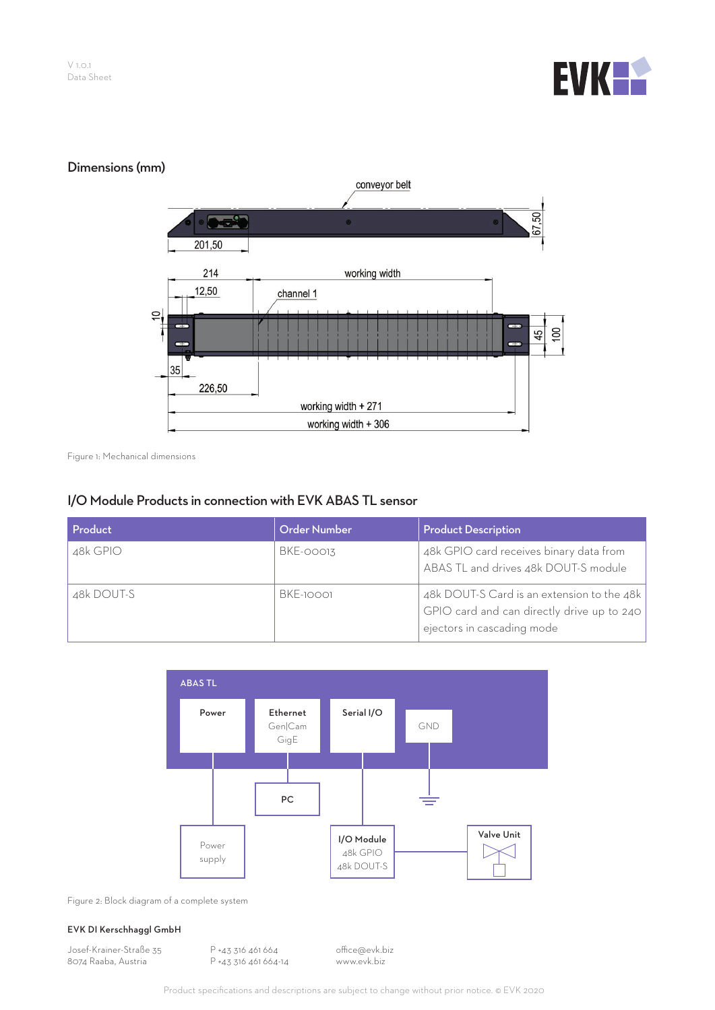



Figure 1: Mechanical dimensions

## I/O Module Products in connection with EVK ABAS TL sensor

| Product    | <b>Order Number</b> | <b>Product Description</b>                                                                                             |
|------------|---------------------|------------------------------------------------------------------------------------------------------------------------|
| 48k GPIO   | BKE-00013           | 48k GPIO card receives binary data from<br>ABAS TL and drives 48k DOUT-S module                                        |
| 48k DOUT-S | BKE-10001           | 48k DOUT-S Card is an extension to the 48k<br>GPIO card and can directly drive up to 240<br>ejectors in cascading mode |



Figure 2: Block diagram of a complete system

#### EVK DI Kerschhaggl GmbH

Josef-Krainer-Straße 35 8074 Raaba, Austria

P +43 316 461 664 P +43 316 461 664-14